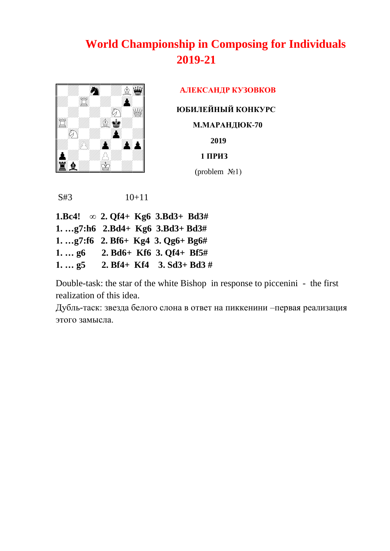

 **AЛЕКСАНДР КУЗОВКОВ ЮБИЛЕЙНЫЙ КОНКУРС М.МАРАНДЮК-70 2019 1 ПРИЗ**  $(\text{problem} \space \mathcal{N}_2)$ 

S#3 10+11

**1.Bc4! ∞ 2. Qf4+ Kg6 3.Bd3+ Bd3# 1. …g7:h6 2.Bd4+ Kg6 3.Bd3+ Bd3# 1. …g7:f6 2. Bf6+ Kg4 3. Qg6+ Bg6# 1. … g6 2. Bd6+ Kf6 3. Qf4+ Bf5# 1. … g5 2. Bf4+ Kf4 3. Sd3+ Bd3 #**

Double-task: the star of the white Bishop in response to piccenini - the first realization of this idea.

Дубль-таск: звезда белого слона в ответ на пиккенини –первая реализация этого замысла.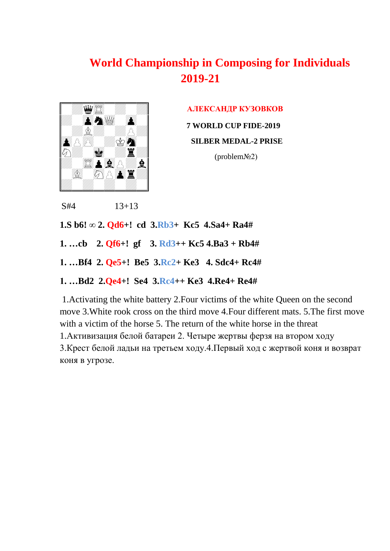

**AЛЕКСАНДР КУЗОВКОВ** 

**7 WORLD CUP FIDE-2019**

#### **SILBER MEDAL-2 PRISE**

(problem№2)

```
S#4 13+13
```
**1.S b6! ∞ 2. Qd6+! cd 3.Rb3+ Kc5 4.Sa4+ Ra4#** 

- **1. …cb 2. Qf6+! gf 3. Rd3++ Kc5 4.Ba3 + Rb4#**
- **1. …Bf4 2. Qe5+! Be5 3.Rc2+ Ke3 4. Sdc4+ Rc4#**
- **1. …Bd2 2.Qe4+! Se4 3.Rc4++ Ke3 4.Re4+ Re4#**

1.Activating the white battery 2.Four victims of the white Queen on the second move 3.White rook cross on the third move 4.Four different mats. 5.The first move with a victim of the horse 5. The return of the white horse in the threat 1.Активизация белой батареи 2. Четыре жертвы ферзя на втором ходу 3.Крест белой ладьи на третьем ходу.4.Первый ход с жертвой коня и возврат коня в угрозе.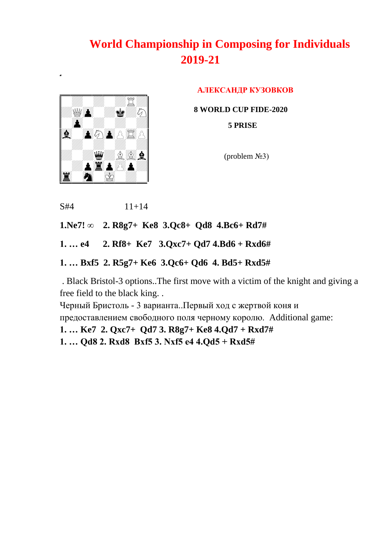

֚֡֘

**AЛЕКСАНДР КУЗОВКОВ**

 **8 WORLD CUP FIDE-2020**

 **5 PRISE**

 $$ 

```
S#4 11+14
```
**1.Ne7! ∞ 2. R8g7+ Ke8 3.Qc8+ Qd8 4.Bc6+ Rd7#** 

**1. … e4 2. Rf8+ Ke7 3.Qxc7+ Qd7 4.Bd6 + Rxd6#**

**1. … Bxf5 2. R5g7+ Ke6 3.Qc6+ Qd6 4. Bd5+ Rxd5#** 

. Black Bristol-3 options..The first move with a victim of the knight and giving a free field to the black king. .

Черный Бристоль - 3 варианта..Первый ход с жертвой коня и

предоставлением свободного поля черному королю. Additional game:

**1. … Ke7 2. Qxc7+ Qd7 3. R8g7+ Ke8 4.Qd7 + Rxd7#**

**1. … Qd8 2. Rxd8 Bxf5 3. Nxf5 e4 4.Qd5 + Rxd5#**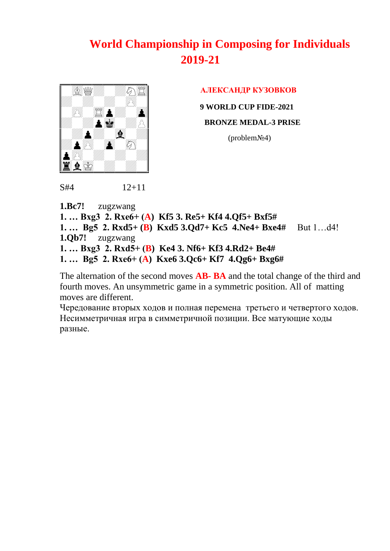

 $S#4$  12+11

#### **AЛЕКСАНДР КУЗОВКОВ**

**9 WORLD CUP FIDE-2021**

 **BRONZE MEDAL-3 PRISE**

(problem№4)

**1.Bc7!** zugzwang **1. … Bxg3 2. Rxe6+ (A) Kf5 3. Re5+ Kf4 4.Qf5+ Bxf5# 1. … Bg5 2. Rxd5+ (B) Kxd5 3.Qd7+ Kc5 4.Ne4+ Bxe4#** But 1…d4! **1.Qb7!** zugzwang **1. … Bxg3 2. Rxd5+ (B) Ke4 3. Nf6+ Kf3 4.Rd2+ Be4# 1. … Bg5 2. Rxe6+ (A) Kxe6 3.Qc6+ Kf7 4.Qg6+ Bxg6#**

Тhe alternation of the second moves **AB- BA** and the total change of the third and fourth moves. An unsymmetric game in a symmetric position. All of matting moves are different.

Чередование вторых ходов и полная перемена третьего и четвертого ходов. Несимметричная игра в симметричной позиции. Все матующие ходы разные.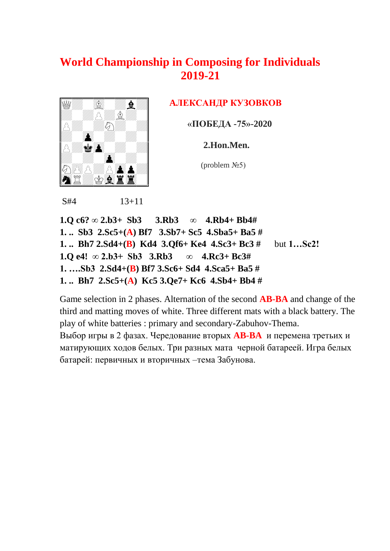

### **AЛЕКСАНДР КУЗОВКОВ**

«**ПОБЕДА -75»-2020** 

 **2.Hon.Men.**

 $<sup>(problem N<sub>2</sub>5)</sup>$ </sup>

S#4 13+11

**1.Q c6? ∞ 2.b3+ Sb3 3.Rb3 ∞ 4.Rb4+ Bb4# 1. .. Sb3 2.Sc5+(A) Bf7 3.Sb7+ Sc5 4.Sba5+ Ba5 # 1. .. Bh7 2.Sd4+(B) Kd4 3.Qf6+ Ke4 4.Sc3+ Bc3 #** but **1…Sc2! 1.Q e4! ∞ 2.b3+ Sb3 3.Rb3 ∞ 4.Rc3+ Bc3# 1. ….Sb3 2.Sd4+(B) Bf7 3.Sc6+ Sd4 4.Sca5+ Ba5 # 1. .. Bh7 2.Sc5+(A) Kc5 3.Qe7+ Kc6 4.Sb4+ Bb4 #** 

Game selection in 2 phases. Alternation of the second **AB-BA** and change of the third and matting moves of white. Three different mats with a black battery. The play of white batteries : primary and secondary-Zabuhov-Thema. Выбор игры в 2 фазах. Чередование вторых **AB-BA** и перемена третьих и матирующих ходов белых. Три разных мата черной батареей. Игра белых батарей: первичных и вторичных –тема Забунова.